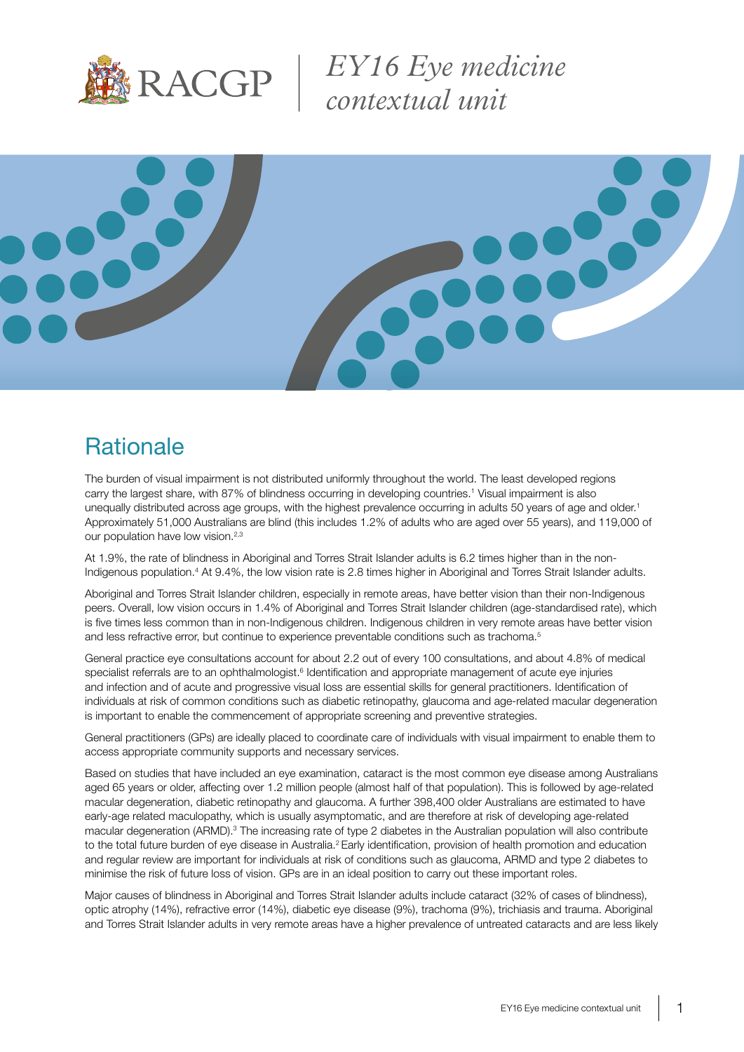

*EY16 Eye medicine contextual unit*



## **Rationale**

The burden of visual impairment is not distributed uniformly throughout the world. The least developed regions carry the largest share, with 87% of blindness occurring in developing countries.1 Visual impairment is also unequally distributed across age groups, with the highest prevalence occurring in adults 50 years of age and older.<sup>1</sup> Approximately 51,000 Australians are blind (this includes 1.2% of adults who are aged over 55 years), and 119,000 of our population have low vision.<sup>2,3</sup>

At 1.9%, the rate of blindness in Aboriginal and Torres Strait Islander adults is 6.2 times higher than in the non-Indigenous population.<sup>4</sup> At 9.4%, the low vision rate is 2.8 times higher in Aboriginal and Torres Strait Islander adults.

Aboriginal and Torres Strait Islander children, especially in remote areas, have better vision than their non-Indigenous peers. Overall, low vision occurs in 1.4% of Aboriginal and Torres Strait Islander children (age-standardised rate), which is five times less common than in non-Indigenous children. Indigenous children in very remote areas have better vision and less refractive error, but continue to experience preventable conditions such as trachoma.<sup>5</sup>

General practice eye consultations account for about 2.2 out of every 100 consultations, and about 4.8% of medical specialist referrals are to an ophthalmologist.<sup>6</sup> Identification and appropriate management of acute eye injuries and infection and of acute and progressive visual loss are essential skills for general practitioners. Identification of individuals at risk of common conditions such as diabetic retinopathy, glaucoma and age-related macular degeneration is important to enable the commencement of appropriate screening and preventive strategies.

General practitioners (GPs) are ideally placed to coordinate care of individuals with visual impairment to enable them to access appropriate community supports and necessary services.

Based on studies that have included an eye examination, cataract is the most common eye disease among Australians aged 65 years or older, affecting over 1.2 million people (almost half of that population). This is followed by age-related macular degeneration, diabetic retinopathy and glaucoma. A further 398,400 older Australians are estimated to have early-age related maculopathy, which is usually asymptomatic, and are therefore at risk of developing age-related macular degeneration (ARMD).<sup>3</sup> The increasing rate of type 2 diabetes in the Australian population will also contribute to the total future burden of eye disease in Australia.<sup>2</sup> Early identification, provision of health promotion and education and regular review are important for individuals at risk of conditions such as glaucoma, ARMD and type 2 diabetes to minimise the risk of future loss of vision. GPs are in an ideal position to carry out these important roles.

Major causes of blindness in Aboriginal and Torres Strait Islander adults include cataract (32% of cases of blindness), optic atrophy (14%), refractive error (14%), diabetic eye disease (9%), trachoma (9%), trichiasis and trauma. Aboriginal and Torres Strait Islander adults in very remote areas have a higher prevalence of untreated cataracts and are less likely